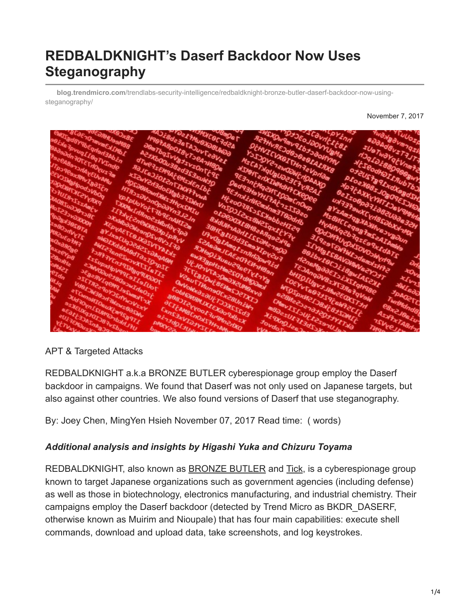# **REDBALDKNIGHT's Daserf Backdoor Now Uses Steganography**

**blog.trendmicro.com**[/trendlabs-security-intelligence/redbaldknight-bronze-butler-daserf-backdoor-now-using](http://blog.trendmicro.com/trendlabs-security-intelligence/redbaldknight-bronze-butler-daserf-backdoor-now-using-steganography/)steganography/

November 7, 2017



### APT & Targeted Attacks

REDBALDKNIGHT a.k.a BRONZE BUTLER cyberespionage group employ the Daserf backdoor in campaigns. We found that Daserf was not only used on Japanese targets, but also against other countries. We also found versions of Daserf that use steganography.

By: Joey Chen, MingYen Hsieh November 07, 2017 Read time: ( words)

### *Additional analysis and insights by Higashi Yuka and Chizuru Toyama*

REDBALDKNIGHT, also known as [BRONZE BUTLER](http://securityaffairs.co/wordpress/64311/apt/bronze-butler-ttps.html) and [Tick](https://www.scmagazine.com/tick-cyberespionage-group-targets-japanese-firms-using-custom-malware/article/528602/), is a cyberespionage group known to target Japanese organizations such as government agencies (including defense) as well as those in biotechnology, electronics manufacturing, and industrial chemistry. Their campaigns employ the Daserf backdoor (detected by Trend Micro as BKDR\_DASERF, otherwise known as Muirim and Nioupale) that has four main capabilities: execute shell commands, download and upload data, take screenshots, and log keystrokes.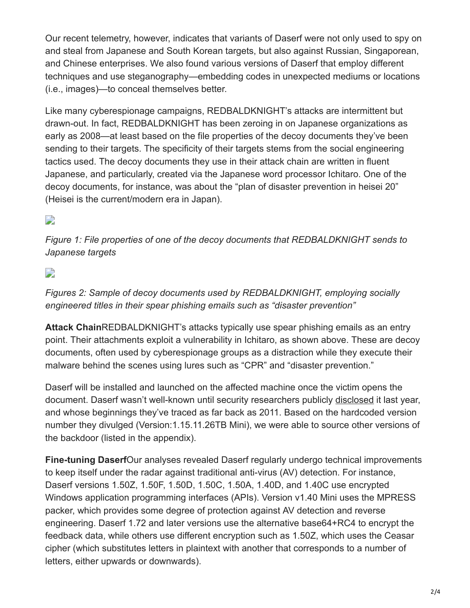Our recent telemetry, however, indicates that variants of Daserf were not only used to spy on and steal from Japanese and South Korean targets, but also against Russian, Singaporean, and Chinese enterprises. We also found various versions of Daserf that employ different techniques and use steganography—embedding codes in unexpected mediums or locations (i.e., images)—to conceal themselves better.

Like many cyberespionage campaigns, REDBALDKNIGHT's attacks are intermittent but drawn-out. In fact, REDBALDKNIGHT has been zeroing in on Japanese organizations as early as 2008—at least based on the file properties of the decoy documents they've been sending to their targets. The specificity of their targets stems from the social engineering tactics used. The decoy documents they use in their attack chain are written in fluent Japanese, and particularly, created via the Japanese word processor Ichitaro. One of the decoy documents, for instance, was about the "plan of disaster prevention in heisei 20" (Heisei is the current/modern era in Japan).

### $\Box$

*Figure 1: File properties of one of the decoy documents that REDBALDKNIGHT sends to Japanese targets*

### D

*Figures 2: Sample of decoy documents used by REDBALDKNIGHT, employing socially engineered titles in their spear phishing emails such as "disaster prevention"*

**Attack Chain**REDBALDKNIGHT's attacks typically use spear phishing emails as an entry point. Their attachments exploit a vulnerability in Ichitaro, as shown above. These are decoy documents, often used by cyberespionage groups as a distraction while they execute their malware behind the scenes using lures such as "CPR" and "disaster prevention."

Daserf will be installed and launched on the affected machine once the victim opens the document. Daserf wasn't well-known until security researchers publicly [disclosed](http://blog.jpcert.or.jp/2017/01/2016-in-review-top-cyber-security-trends-in-japan.html) it last year, and whose beginnings they've traced as far back as 2011. Based on the hardcoded version number they divulged (Version:1.15.11.26TB Mini), we were able to source other versions of the backdoor (listed in the appendix).

**Fine-tuning Daserf**Our analyses revealed Daserf regularly undergo technical improvements to keep itself under the radar against traditional anti-virus (AV) detection. For instance, Daserf versions 1.50Z, 1.50F, 1.50D, 1.50C, 1.50A, 1.40D, and 1.40C use encrypted Windows application programming interfaces (APIs). Version v1.40 Mini uses the MPRESS packer, which provides some degree of protection against AV detection and reverse engineering. Daserf 1.72 and later versions use the alternative base64+RC4 to encrypt the feedback data, while others use different encryption such as 1.50Z, which uses the Ceasar cipher (which substitutes letters in plaintext with another that corresponds to a number of letters, either upwards or downwards).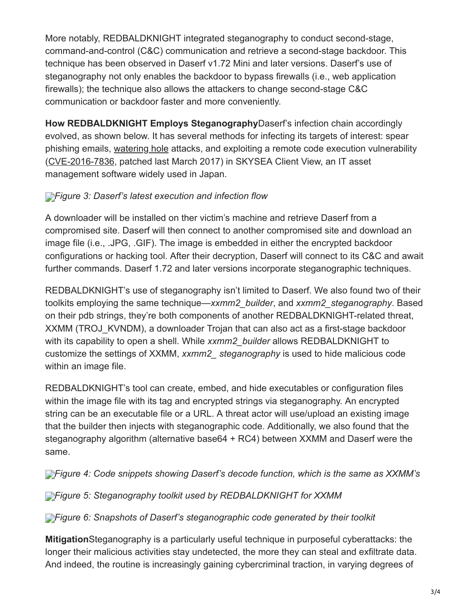More notably, REDBALDKNIGHT integrated steganography to conduct second-stage, command-and-control (C&C) communication and retrieve a second-stage backdoor. This technique has been observed in Daserf v1.72 Mini and later versions. Daserf's use of steganography not only enables the backdoor to bypass firewalls (i.e., web application firewalls); the technique also allows the attackers to change second-stage C&C communication or backdoor faster and more conveniently.

**How REDBALDKNIGHT Employs Steganography**Daserf's infection chain accordingly evolved, as shown below. It has several methods for infecting its targets of interest: spear phishing emails, [watering hole](https://www.trendmicro.com/vinfo/tmr/?/us/threat-encyclopedia/web-attack/137/watering-hole-101) attacks, and exploiting a remote code execution vulnerability ([CVE-2016-7836](https://www.jpcert.or.jp/english/at/2016/at160051.html), patched last March 2017) in SKYSEA Client View, an IT asset management software widely used in Japan.

## *[F](http://blog.trendmicro.com/content/dam/trendmicro/global/en/migrated/security-intelligence-migration-spreadsheet/trendlabs-security-intelligence/2017/11/redbaldknight-bronze-butler-3.jpg)igure 3: Daserf's latest execution and infection flow*

A downloader will be installed on ther victim's machine and retrieve Daserf from a compromised site. Daserf will then connect to another compromised site and download an image file (i.e., .JPG, .GIF). The image is embedded in either the encrypted backdoor configurations or hacking tool. After their decryption, Daserf will connect to its C&C and await further commands. Daserf 1.72 and later versions incorporate steganographic techniques.

REDBALDKNIGHT's use of steganography isn't limited to Daserf. We also found two of their toolkits employing the same technique—*xxmm2\_builder*, and *xxmm2\_steganography*. Based on their pdb strings, they're both components of another REDBALDKNIGHT-related threat, XXMM (TROJ KVNDM), a downloader Trojan that can also act as a first-stage backdoor with its capability to open a shell. While *xxmm2\_builder* allows REDBALDKNIGHT to customize the settings of XXMM, *xxmm2\_ steganography* is used to hide malicious code within an image file.

REDBALDKNIGHT's tool can create, embed, and hide executables or configuration files within the image file with its tag and encrypted strings via steganography. An encrypted string can be an executable file or a URL. A threat actor will use/upload an existing image that the builder then injects with steganographic code. Additionally, we also found that the steganography algorithm (alternative base64 + RC4) between XXMM and Daserf were the same.

*[F](http://blog.trendmicro.com/content/dam/trendmicro/global/en/migrated/security-intelligence-migration-spreadsheet/trendlabs-security-intelligence/2017/11/redbaldknight-bronze-butler-4-1.jpg)igure 4: Code snippets showing Daserf's decode function, which is the same as XXMM's*

**[F](http://blog.trendmicro.com/content/dam/trendmicro/global/en/migrated/security-intelligence-migration-spreadsheet/trendlabs-security-intelligence/2017/11/redbaldknight-bronze-butler-4.jpg)**<sup>*igure 5: Steganography toolkit used by REDBALDKNIGHT for XXMM*</sup>

**[F](http://blog.trendmicro.com/content/dam/trendmicro/global/en/migrated/security-intelligence-migration-spreadsheet/trendlabs-security-intelligence/2017/11/redbaldknight-bronze-butler-5.png)**<sup>*igure 6: Snapshots of Daserf's steganographic code generated by their toolkit*</sup>

**Mitigation**Steganography is a particularly useful technique in purposeful cyberattacks: the longer their malicious activities stay undetected, the more they can steal and exfiltrate data. And indeed, the routine is increasingly gaining cybercriminal traction, in varying degrees of